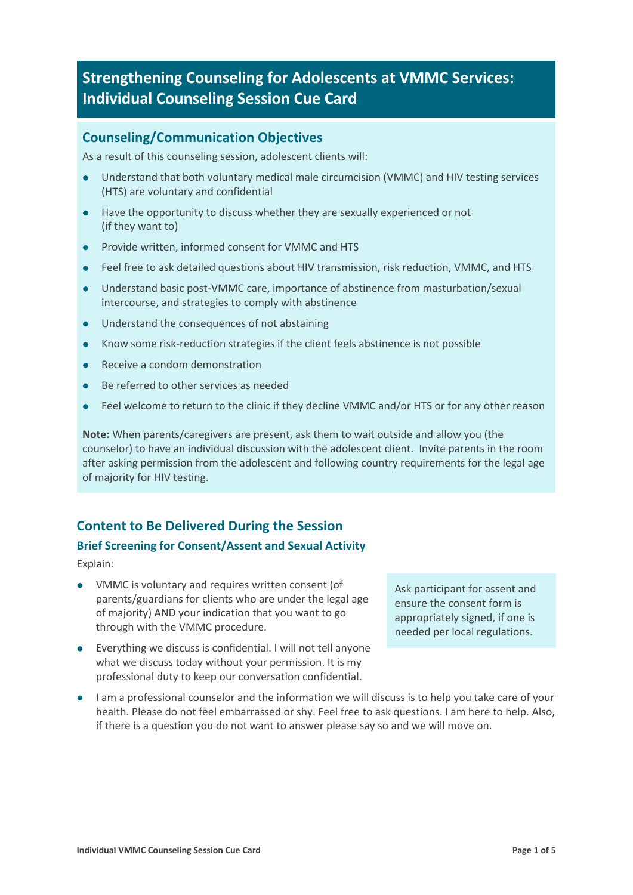# **Strengthening Counseling for Adolescents at VMMC Services: Individual Counseling Session Cue Card**

### **Counseling/Communication Objectives**

As a result of this counseling session, adolescent clients will:

- Understand that both voluntary medical male circumcision (VMMC) and HIV testing services (HTS) are voluntary and confidential
- Have the opportunity to discuss whether they are sexually experienced or not (if they want to)
- **•** Provide written, informed consent for VMMC and HTS
- Feel free to ask detailed questions about HIV transmission, risk reduction, VMMC, and HTS
- Understand basic post-VMMC care, importance of abstinence from masturbation/sexual intercourse, and strategies to comply with abstinence
- l Understand the consequences of not abstaining
- l Know some risk-reduction strategies if the client feels abstinence is not possible
- Receive a condom demonstration
- l Be referred to other services as needed
- l Feel welcome to return to the clinic if they decline VMMC and/or HTS or for any other reason

**Note:** When parents/caregivers are present, ask them to wait outside and allow you (the counselor) to have an individual discussion with the adolescent client. Invite parents in the room after asking permission from the adolescent and following country requirements for the legal age of majority for HIV testing.

### **Content to Be Delivered During the Session**

#### **Brief Screening for Consent/Assent and Sexual Activity**

Explain:

- VMMC is voluntary and requires written consent (of parents/guardians for clients who are under the legal age of majority) AND your indication that you want to go through with the VMMC procedure.
- $\bullet$  Everything we discuss is confidential. I will not tell anyone what we discuss today without your permission. It is my professional duty to keep our conversation confidential.

Ask participant for assent and ensure the consent form is appropriately signed, if one is needed per local regulations.

 $\bullet$  I am a professional counselor and the information we will discuss is to help you take care of your health. Please do not feel embarrassed or shy. Feel free to ask questions. I am here to help. Also, if there is a question you do not want to answer please say so and we will move on.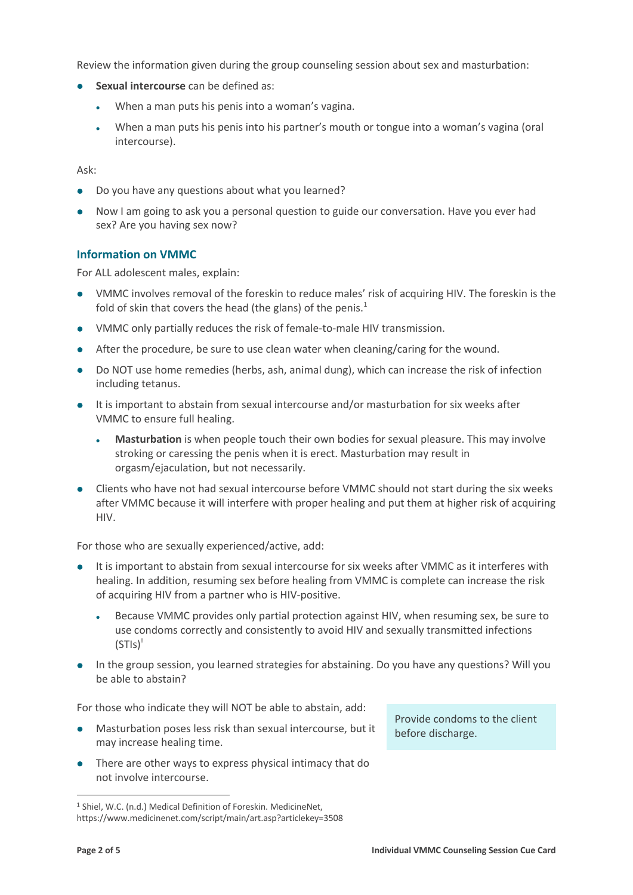Review the information given during the group counseling session about sex and masturbation:

- **Sexual intercourse** can be defined as:
	- When a man puts his penis into a woman's vagina.
	- <sup>l</sup> When a man puts his penis into his partner's mouth or tongue into a woman's vagina (oral intercourse).

Ask:

- Do you have any questions about what you learned?
- Now I am going to ask you a personal question to guide our conversation. Have you ever had sex? Are you having sex now?

#### **Information on VMMC**

For ALL adolescent males, explain:

- VMMC involves removal of the foreskin to reduce males' risk of acquiring HIV. The foreskin is the fold of skin that covers the head (the glans) of the penis. $1$
- VMMC only partially reduces the risk of female-to-male HIV transmission.
- After the procedure, be sure to use clean water when cleaning/caring for the wound.
- Do NOT use home remedies (herbs, ash, animal dung), which can increase the risk of infection including tetanus.
- It is important to abstain from sexual intercourse and/or masturbation for six weeks after VMMC to ensure full healing.
	- <sup>l</sup> **Masturbation** is when people touch their own bodies for sexual pleasure. This may involve stroking or caressing the penis when it is erect. Masturbation may result in orgasm/ejaculation, but not necessarily.
- Clients who have not had sexual intercourse before VMMC should not start during the six weeks after VMMC because it will interfere with proper healing and put them at higher risk of acquiring HIV.

For those who are sexually experienced/active, add:

- It is important to abstain from sexual intercourse for six weeks after VMMC as it interferes with healing. In addition, resuming sex before healing from VMMC is complete can increase the risk of acquiring HIV from a partner who is HIV-positive.
	- <sup>l</sup> Because VMMC provides only partial protection against HIV, when resuming sex, be sure to use condoms correctly and consistently to avoid HIV and sexually transmitted infections  $(STIS)^{!}$
- In the group session, you learned strategies for abstaining. Do you have any questions? Will you be able to abstain?

For those who indicate they will NOT be able to abstain, add:

- Masturbation poses less risk than sexual intercourse, but it may increase healing time.
- There are other ways to express physical intimacy that do not involve intercourse.

Provide condoms to the client before discharge.

 <sup>1</sup> Shiel, W.C. (n.d.) Medical Definition of Foreskin. MedicineNet, https://www.medicinenet.com/script/main/art.asp?articlekey=3508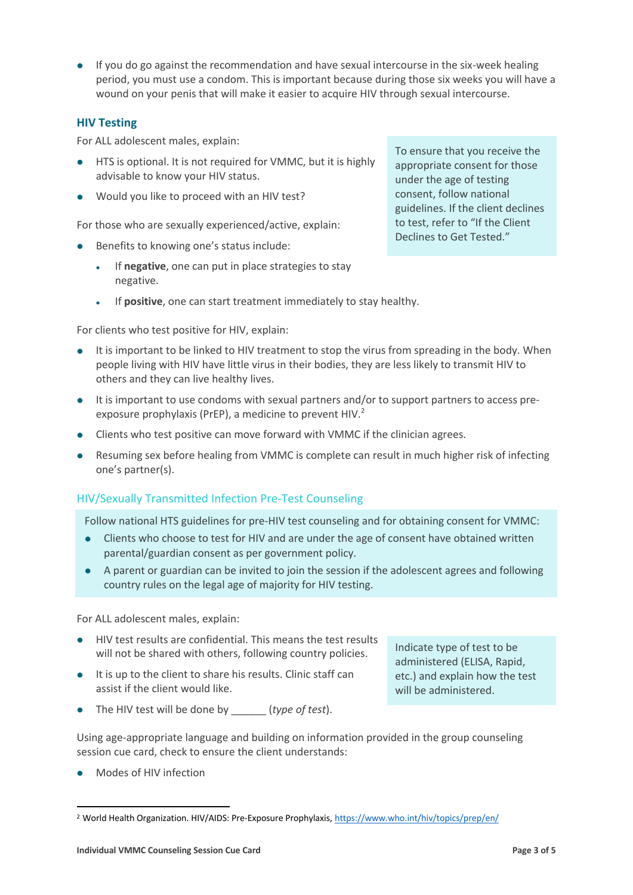$\bullet$  If you do go against the recommendation and have sexual intercourse in the six-week healing period, you must use a condom. This is important because during those six weeks you will have a wound on your penis that will make it easier to acquire HIV through sexual intercourse.

#### **HIV Testing**

For ALL adolescent males, explain:

- **.** HTS is optional. It is not required for VMMC, but it is highly advisable to know your HIV status.
- l Would you like to proceed with an HIV test?

For those who are sexually experienced/active, explain:

- **e** Benefits to knowing one's status include:
	- If **negative**, one can put in place strategies to stay negative.
	- If **positive**, one can start treatment immediately to stay healthy.

For clients who test positive for HIV, explain:

- It is important to be linked to HIV treatment to stop the virus from spreading in the body. When people living with HIV have little virus in their bodies, they are less likely to transmit HIV to others and they can live healthy lives.
- It is important to use condoms with sexual partners and/or to support partners to access preexposure prophylaxis (PrEP), a medicine to prevent HIV.<sup>2</sup>
- Clients who test positive can move forward with VMMC if the clinician agrees.
- Resuming sex before healing from VMMC is complete can result in much higher risk of infecting one's partner(s).

#### HIV/Sexually Transmitted Infection Pre-Test Counseling

Follow national HTS guidelines for pre-HIV test counseling and for obtaining consent for VMMC:

- Clients who choose to test for HIV and are under the age of consent have obtained written parental/guardian consent as per government policy.
- A parent or guardian can be invited to join the session if the adolescent agrees and following country rules on the legal age of majority for HIV testing.

For ALL adolescent males, explain:

- **.** HIV test results are confidential. This means the test results will not be shared with others, following country policies.
- $\bullet$  It is up to the client to share his results. Clinic staff can assist if the client would like.
- The HIV test will be done by *\_\_\_\_\_\_\_ (type of test*).

Using age-appropriate language and building on information provided in the group counseling session cue card, check to ensure the client understands:

Modes of HIV infection

To ensure that you receive the appropriate consent for those under the age of testing consent, follow national guidelines. If the client declines to test, refer to "If the Client Declines to Get Tested."

Indicate type of test to be administered (ELISA, Rapid, etc.) and explain how the test

will be administered.

 <sup>2</sup> World Health Organization. HIV/AIDS: Pre-Exposure Prophylaxis, https://www.who.int/hiv/topics/prep/en/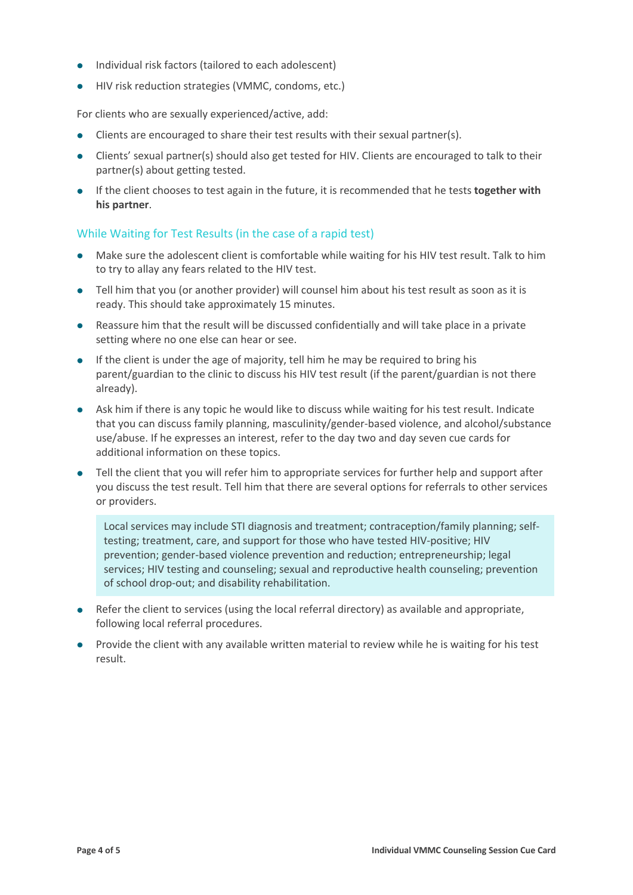- Individual risk factors (tailored to each adolescent)
- **.** HIV risk reduction strategies (VMMC, condoms, etc.)

For clients who are sexually experienced/active, add:

- $\bullet$  Clients are encouraged to share their test results with their sexual partner(s).
- Clients' sexual partner(s) should also get tested for HIV. Clients are encouraged to talk to their partner(s) about getting tested.
- **.** If the client chooses to test again in the future, it is recommended that he tests **together with his partner**.

#### While Waiting for Test Results (in the case of a rapid test)

- Make sure the adolescent client is comfortable while waiting for his HIV test result. Talk to him to try to allay any fears related to the HIV test.
- Tell him that you (or another provider) will counsel him about his test result as soon as it is ready. This should take approximately 15 minutes.
- Reassure him that the result will be discussed confidentially and will take place in a private setting where no one else can hear or see.
- $\bullet$  If the client is under the age of majority, tell him he may be required to bring his parent/guardian to the clinic to discuss his HIV test result (if the parent/guardian is not there already).
- Ask him if there is any topic he would like to discuss while waiting for his test result. Indicate that you can discuss family planning, masculinity/gender-based violence, and alcohol/substance use/abuse. If he expresses an interest, refer to the day two and day seven cue cards for additional information on these topics.
- Tell the client that you will refer him to appropriate services for further help and support after you discuss the test result. Tell him that there are several options for referrals to other services or providers.

Local services may include STI diagnosis and treatment; contraception/family planning; selftesting; treatment, care, and support for those who have tested HIV-positive; HIV prevention; gender-based violence prevention and reduction; entrepreneurship; legal services; HIV testing and counseling; sexual and reproductive health counseling; prevention of school drop-out; and disability rehabilitation.

- Refer the client to services (using the local referral directory) as available and appropriate, following local referral procedures.
- Provide the client with any available written material to review while he is waiting for his test result.